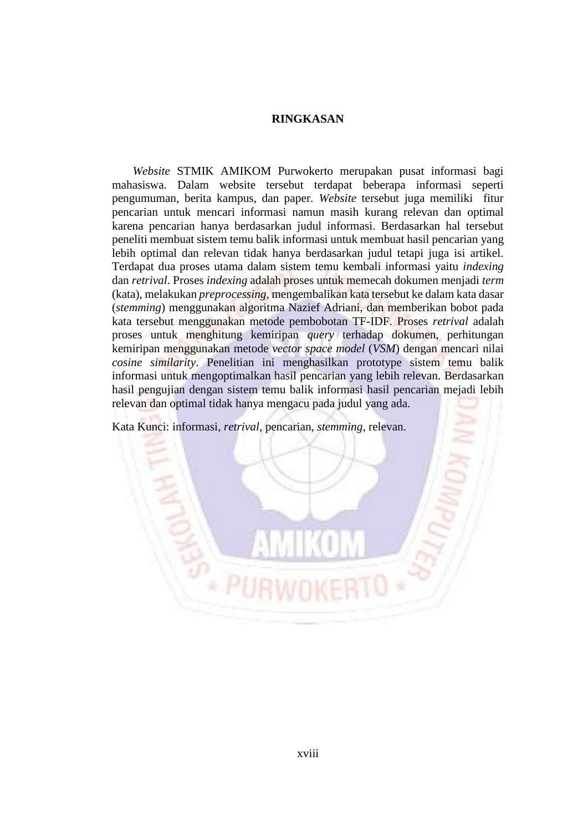## **RINGKASAN**

 *Website* STMIK AMIKOM Purwokerto merupakan pusat informasi bagi mahasiswa. Dalam website tersebut terdapat beberapa informasi seperti pengumuman, berita kampus, dan paper. *Website* tersebut juga memiliki fitur pencarian untuk mencari informasi namun masih kurang relevan dan optimal karena pencarian hanya berdasarkan judul informasi. Berdasarkan hal tersebut peneliti membuat sistem temu balik informasi untuk membuat hasil pencarian yang lebih optimal dan relevan tidak hanya berdasarkan judul tetapi juga isi artikel. Terdapat dua proses utama dalam sistem temu kembali informasi yaitu *indexing* dan *retrival*. Proses *indexing* adalah proses untuk memecah dokumen menjadi *term* (kata), melakukan *preprocessing*, mengembalikan kata tersebut ke dalam kata dasar (*stemming*) menggunakan algoritma Nazief Adriani, dan memberikan bobot pada kata tersebut menggunakan metode pembobotan TF-IDF. Proses *retrival* adalah proses untuk menghitung kemiripan *query* terhadap dokumen, perhitungan kemiripan menggunakan metode *vector space model* (*VSM*) dengan mencari nilai *cosine similarity*. Penelitian ini menghasilkan prototype sistem temu balik informasi untuk mengoptimalkan hasil pencarian yang lebih relevan. Berdasarkan hasil pengujian dengan sistem temu balik informasi hasil pencarian mejadi lebih relevan dan optimal tidak hanya mengacu pada judul yang ada.

Kata Kunci: informasi*, retrival*, pencarian, *stemming*, relevan.